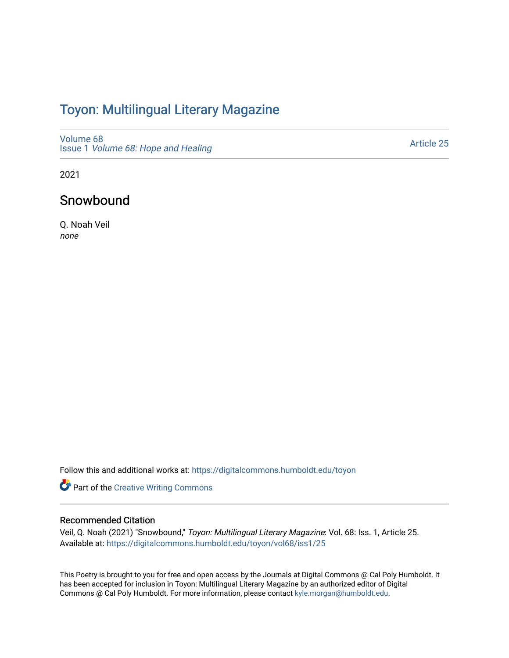## Toyon: Multilingual Literar[y](https://digitalcommons.humboldt.edu/toyon) Magazine

[Volume 68](https://digitalcommons.humboldt.edu/toyon/vol68) Issue 1 [Volume 68: Hope and Healing](https://digitalcommons.humboldt.edu/toyon/vol68/iss1) 

[Article 25](https://digitalcommons.humboldt.edu/toyon/vol68/iss1/25) 

2021

## Snowbound

Q. Noah Veil none

Follow this and additional works at: [https://digitalcommons.humboldt.edu/toyon](https://digitalcommons.humboldt.edu/toyon?utm_source=digitalcommons.humboldt.edu%2Ftoyon%2Fvol68%2Fiss1%2F25&utm_medium=PDF&utm_campaign=PDFCoverPages)

Part of the [Creative Writing Commons](http://network.bepress.com/hgg/discipline/574?utm_source=digitalcommons.humboldt.edu%2Ftoyon%2Fvol68%2Fiss1%2F25&utm_medium=PDF&utm_campaign=PDFCoverPages) 

## Recommended Citation

Veil, Q. Noah (2021) "Snowbound," Toyon: Multilingual Literary Magazine: Vol. 68: Iss. 1, Article 25. Available at: [https://digitalcommons.humboldt.edu/toyon/vol68/iss1/25](https://digitalcommons.humboldt.edu/toyon/vol68/iss1/25?utm_source=digitalcommons.humboldt.edu%2Ftoyon%2Fvol68%2Fiss1%2F25&utm_medium=PDF&utm_campaign=PDFCoverPages) 

This Poetry is brought to you for free and open access by the Journals at Digital Commons @ Cal Poly Humboldt. It has been accepted for inclusion in Toyon: Multilingual Literary Magazine by an authorized editor of Digital Commons @ Cal Poly Humboldt. For more information, please contact [kyle.morgan@humboldt.edu](mailto:kyle.morgan@humboldt.edu).